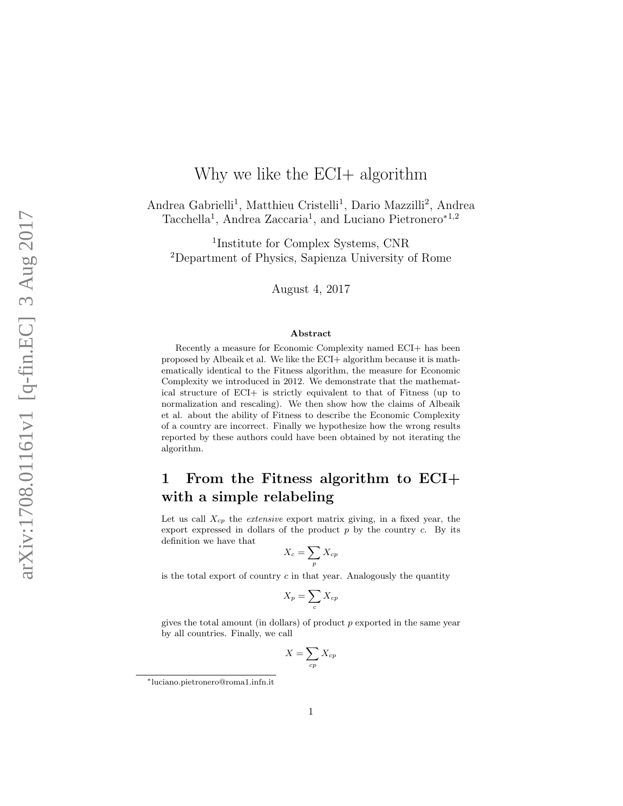# Why we like the  $ECI+$  algorithm

Andrea Gabrielli<sup>1</sup>, Matthieu Cristelli<sup>1</sup>, Dario Mazzilli<sup>2</sup>, Andrea Tacchella<sup>1</sup>, Andrea Zaccaria<sup>1</sup>, and Luciano Pietronero<sup>\*1,2</sup>

1 Institute for Complex Systems, CNR <sup>2</sup>Department of Physics, Sapienza University of Rome

August 4, 2017

#### Abstract

Recently a measure for Economic Complexity named ECI+ has been proposed by Albeaik et al. We like the ECI+ algorithm because it is mathematically identical to the Fitness algorithm, the measure for Economic Complexity we introduced in 2012. We demonstrate that the mathematical structure of ECI+ is strictly equivalent to that of Fitness (up to normalization and rescaling). We then show how the claims of Albeaik et al. about the ability of Fitness to describe the Economic Complexity of a country are incorrect. Finally we hypothesize how the wrong results reported by these authors could have been obtained by not iterating the algorithm.

# 1 From the Fitness algorithm to ECI+ with a simple relabeling

Let us call  $X_{cp}$  the *extensive* export matrix giving, in a fixed year, the export expressed in dollars of the product  $p$  by the country  $c$ . By its definition we have that

$$
X_c = \sum_p X_{cp}
$$

is the total export of country  $c$  in that year. Analogously the quantity

$$
X_p = \sum_c X_{cp}
$$

gives the total amount (in dollars) of product p exported in the same year by all countries. Finally, we call

$$
X = \sum_{cp} X_{cp}
$$

<sup>∗</sup>luciano.pietronero@roma1.infn.it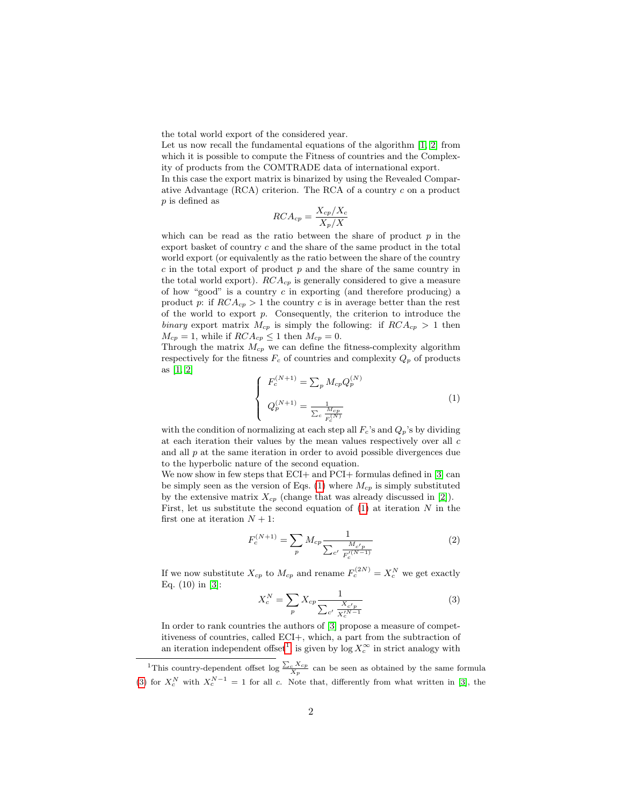the total world export of the considered year.

Let us now recall the fundamental equations of the algorithm [\[1,](#page-4-0) [2\]](#page-4-1) from which it is possible to compute the Fitness of countries and the Complexity of products from the COMTRADE data of international export.

In this case the export matrix is binarized by using the Revealed Comparative Advantage (RCA) criterion. The RCA of a country c on a product p is defined as

$$
RCA_{cp} = \frac{X_{cp}/X_c}{X_p/X}
$$

which can be read as the ratio between the share of product  $p$  in the export basket of country c and the share of the same product in the total world export (or equivalently as the ratio between the share of the country  $c$  in the total export of product  $p$  and the share of the same country in the total world export).  $RCA_{cp}$  is generally considered to give a measure of how "good" is a country  $c$  in exporting (and therefore producing) a product p: if  $RCA_{cp} > 1$  the country c is in average better than the rest of the world to export  $p$ . Consequently, the criterion to introduce the binary export matrix  $M_{cp}$  is simply the following: if  $RCA_{cp} > 1$  then  $M_{cp} = 1$ , while if  $RCA_{cp} \leq 1$  then  $M_{cp} = 0$ .

Through the matrix  $M_{cp}$  we can define the fitness-complexity algorithm respectively for the fitness  $F_c$  of countries and complexity  $Q_p$  of products as [\[1,](#page-4-0) [2\]](#page-4-1)

<span id="page-1-0"></span>
$$
\begin{cases}\nF_c^{(N+1)} = \sum_p M_{cp} Q_p^{(N)} \\
Q_p^{(N+1)} = \frac{1}{\sum_c \frac{M_{cp}}{F_c^{(N)}}}\n\end{cases}
$$
\n(1)

with the condition of normalizing at each step all  $F_c$ 's and  $Q_p$ 's by dividing at each iteration their values by the mean values respectively over all  $c$ and all  $p$  at the same iteration in order to avoid possible divergences due to the hyperbolic nature of the second equation.

We now show in few steps that ECI+ and PCI+ formulas defined in [\[3\]](#page-4-2) can be simply seen as the version of Eqs. [\(1\)](#page-1-0) where  $M_{cp}$  is simply substituted by the extensive matrix  $X_{cp}$  (change that was already discussed in [\[2\]](#page-4-1)).

First, let us substitute the second equation of  $(1)$  at iteration N in the first one at iteration  $N + 1$ :

$$
F_c^{(N+1)} = \sum_p M_{cp} \frac{1}{\sum_{c'} \frac{M_{c'p}}{F_c^{(N-1)}}}
$$
(2)

If we now substitute  $X_{cp}$  to  $M_{cp}$  and rename  $F_c^{(2N)} = X_c^N$  we get exactly Eq. (10) in [\[3\]](#page-4-2):

<span id="page-1-2"></span>
$$
X_c^N = \sum_p X_{cp} \frac{1}{\sum_{c'} \frac{X_{c'p}}{X_c^N - 1}}
$$
(3)

In order to rank countries the authors of [\[3\]](#page-4-2) propose a measure of competitiveness of countries, called ECI+, which, a part from the subtraction of an iteration independent offset<sup>[1](#page-1-1)</sup>, is given by  $\log X_c^{\infty}$  in strict analogy with

<span id="page-1-1"></span><sup>&</sup>lt;sup>1</sup>This country-dependent offset log  $\frac{\sum_{c} X_{cp}}{X_p}$  can be seen as obtained by the same formula [\(3\)](#page-1-2) for  $X_c^N$  with  $X_c^{N-1} = 1$  for all c. Note that, differently from what written in [\[3\]](#page-4-2), the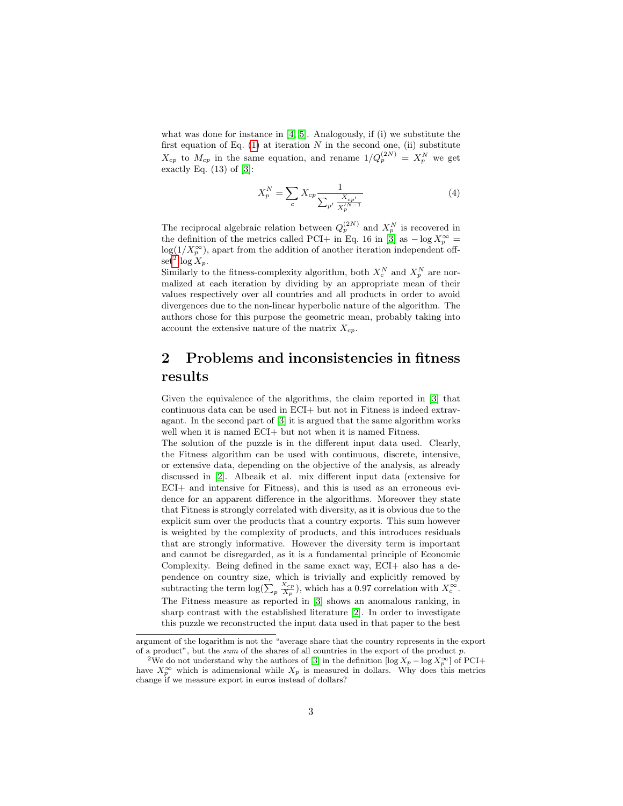what was done for instance in [\[4,](#page-4-3) [5\]](#page-4-4). Analogously, if (i) we substitute the first equation of Eq.  $(1)$  at iteration N in the second one,  $(ii)$  substitute  $X_{cp}$  to  $M_{cp}$  in the same equation, and rename  $1/Q_p^{(2N)} = X_p^N$  we get exactly Eq.  $(13)$  of  $[3]$ :

$$
X_p^N = \sum_c X_{cp} \frac{1}{\sum_{p'} \frac{X_{cp'}}{X_p'^{N-1}}} \tag{4}
$$

The reciprocal algebraic relation between  $Q_p^{(2N)}$  and  $X_p^N$  is recovered in the definition of the metrics called PCI+ in Eq. 16 in [\[3\]](#page-4-2) as  $-\log X_p^{\infty} =$  $log(1/X_p^{\infty})$ , apart from the addition of another iteration independent off- $\operatorname{set}^2 \log X_p$  $\operatorname{set}^2 \log X_p$  $\operatorname{set}^2 \log X_p$ .

Similarly to the fitness-complexity algorithm, both  $X_c^N$  and  $X_p^N$  are normalized at each iteration by dividing by an appropriate mean of their values respectively over all countries and all products in order to avoid divergences due to the non-linear hyperbolic nature of the algorithm. The authors chose for this purpose the geometric mean, probably taking into account the extensive nature of the matrix  $X_{cp}$ .

### 2 Problems and inconsistencies in fitness results

Given the equivalence of the algorithms, the claim reported in [\[3\]](#page-4-2) that continuous data can be used in ECI+ but not in Fitness is indeed extravagant. In the second part of [\[3\]](#page-4-2) it is argued that the same algorithm works well when it is named ECI+ but not when it is named Fitness.

The solution of the puzzle is in the different input data used. Clearly, the Fitness algorithm can be used with continuous, discrete, intensive, or extensive data, depending on the objective of the analysis, as already discussed in [\[2\]](#page-4-1). Albeaik et al. mix different input data (extensive for ECI+ and intensive for Fitness), and this is used as an erroneous evidence for an apparent difference in the algorithms. Moreover they state that Fitness is strongly correlated with diversity, as it is obvious due to the explicit sum over the products that a country exports. This sum however is weighted by the complexity of products, and this introduces residuals that are strongly informative. However the diversity term is important and cannot be disregarded, as it is a fundamental principle of Economic Complexity. Being defined in the same exact way, ECI+ also has a dependence on country size, which is trivially and explicitly removed by subtracting the term  $\log(\sum_{p} \frac{X_{cp}}{X_p})$ , which has a 0.97 correlation with  $X_c^{\infty}$ . The Fitness measure as reported in [\[3\]](#page-4-2) shows an anomalous ranking, in sharp contrast with the established literature [\[2\]](#page-4-1). In order to investigate this puzzle we reconstructed the input data used in that paper to the best

argument of the logarithm is not the "average share that the country represents in the export of a product", but the sum of the shares of all countries in the export of the product  $p$ .

<span id="page-2-0"></span><sup>&</sup>lt;sup>2</sup>We do not understand why the authors of [\[3\]](#page-4-2) in the definition  $[\log X_p - \log X_p^{\infty}]$  of PCI+ have  $X_p^{\infty}$  which is adimensional while  $X_p$  is measured in dollars. Why does this metrics change if we measure export in euros instead of dollars?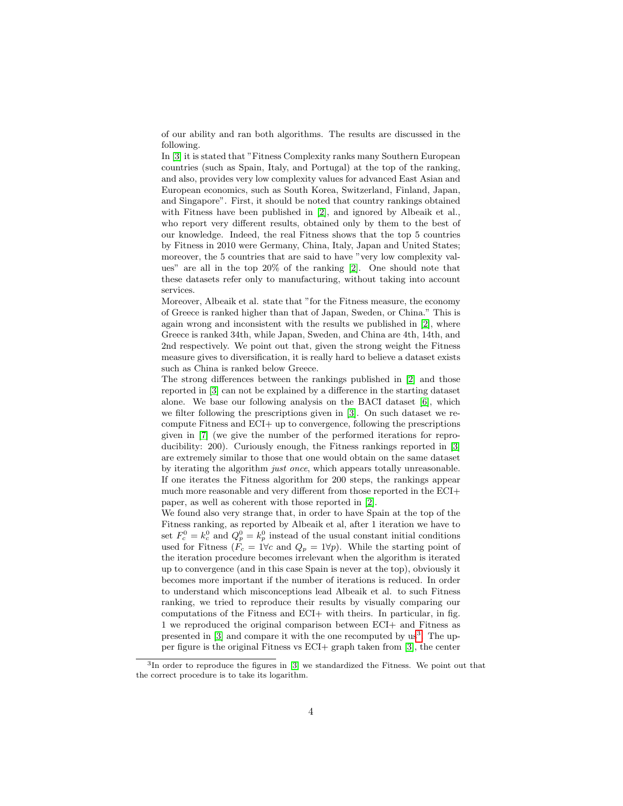of our ability and ran both algorithms. The results are discussed in the following.

In [\[3\]](#page-4-2) it is stated that "Fitness Complexity ranks many Southern European countries (such as Spain, Italy, and Portugal) at the top of the ranking, and also, provides very low complexity values for advanced East Asian and European economics, such as South Korea, Switzerland, Finland, Japan, and Singapore". First, it should be noted that country rankings obtained with Fitness have been published in [\[2\]](#page-4-1), and ignored by Albeaik et al., who report very different results, obtained only by them to the best of our knowledge. Indeed, the real Fitness shows that the top 5 countries by Fitness in 2010 were Germany, China, Italy, Japan and United States; moreover, the 5 countries that are said to have "very low complexity values" are all in the top 20% of the ranking [\[2\]](#page-4-1). One should note that these datasets refer only to manufacturing, without taking into account services.

Moreover, Albeaik et al. state that "for the Fitness measure, the economy of Greece is ranked higher than that of Japan, Sweden, or China." This is again wrong and inconsistent with the results we published in [\[2\]](#page-4-1), where Greece is ranked 34th, while Japan, Sweden, and China are 4th, 14th, and 2nd respectively. We point out that, given the strong weight the Fitness measure gives to diversification, it is really hard to believe a dataset exists such as China is ranked below Greece.

The strong differences between the rankings published in [\[2\]](#page-4-1) and those reported in [\[3\]](#page-4-2) can not be explained by a difference in the starting dataset alone. We base our following analysis on the BACI dataset [\[6\]](#page-4-5), which we filter following the prescriptions given in [\[3\]](#page-4-2). On such dataset we recompute Fitness and ECI+ up to convergence, following the prescriptions given in [\[7\]](#page-4-6) (we give the number of the performed iterations for reproducibility: 200). Curiously enough, the Fitness rankings reported in [\[3\]](#page-4-2) are extremely similar to those that one would obtain on the same dataset by iterating the algorithm just once, which appears totally unreasonable. If one iterates the Fitness algorithm for 200 steps, the rankings appear much more reasonable and very different from those reported in the ECI+ paper, as well as coherent with those reported in [\[2\]](#page-4-1).

We found also very strange that, in order to have Spain at the top of the Fitness ranking, as reported by Albeaik et al, after 1 iteration we have to set  $F_c^0 = k_c^0$  and  $Q_p^0 = k_p^0$  instead of the usual constant initial conditions used for Fitness ( $F_c = 1 \forall c$  and  $Q_p = 1 \forall p$ ). While the starting point of the iteration procedure becomes irrelevant when the algorithm is iterated up to convergence (and in this case Spain is never at the top), obviously it becomes more important if the number of iterations is reduced. In order to understand which misconceptions lead Albeaik et al. to such Fitness ranking, we tried to reproduce their results by visually comparing our computations of the Fitness and ECI+ with theirs. In particular, in fig. 1 we reproduced the original comparison between ECI+ and Fitness as presented in  $[3]$  and compare it with the one recomputed by  $\text{us}^3$  $\text{us}^3$ . The upper figure is the original Fitness vs ECI+ graph taken from [\[3\]](#page-4-2), the center

<span id="page-3-0"></span><sup>&</sup>lt;sup>3</sup>In order to reproduce the figures in [\[3\]](#page-4-2) we standardized the Fitness. We point out that the correct procedure is to take its logarithm.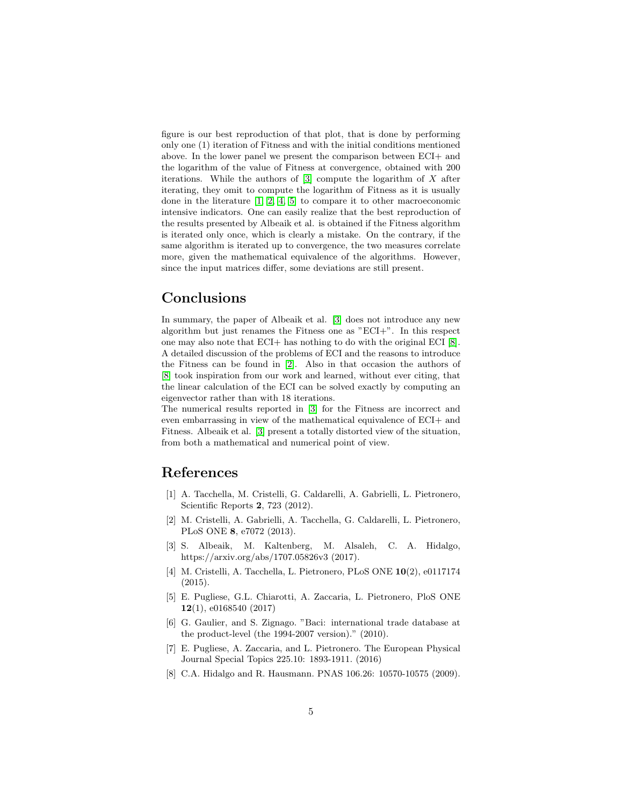figure is our best reproduction of that plot, that is done by performing only one (1) iteration of Fitness and with the initial conditions mentioned above. In the lower panel we present the comparison between ECI+ and the logarithm of the value of Fitness at convergence, obtained with 200 iterations. While the authors of  $[3]$  compute the logarithm of X after iterating, they omit to compute the logarithm of Fitness as it is usually done in the literature [\[1,](#page-4-0) [2,](#page-4-1) [4,](#page-4-3) [5\]](#page-4-4) to compare it to other macroeconomic intensive indicators. One can easily realize that the best reproduction of the results presented by Albeaik et al. is obtained if the Fitness algorithm is iterated only once, which is clearly a mistake. On the contrary, if the same algorithm is iterated up to convergence, the two measures correlate more, given the mathematical equivalence of the algorithms. However, since the input matrices differ, some deviations are still present.

#### Conclusions

In summary, the paper of Albeaik et al. [\[3\]](#page-4-2) does not introduce any new algorithm but just renames the Fitness one as "ECI+". In this respect one may also note that ECI+ has nothing to do with the original ECI [\[8\]](#page-4-7). A detailed discussion of the problems of ECI and the reasons to introduce the Fitness can be found in [\[2\]](#page-4-1). Also in that occasion the authors of [\[8\]](#page-4-7) took inspiration from our work and learned, without ever citing, that the linear calculation of the ECI can be solved exactly by computing an eigenvector rather than with 18 iterations.

The numerical results reported in [\[3\]](#page-4-2) for the Fitness are incorrect and even embarrassing in view of the mathematical equivalence of ECI+ and Fitness. Albeaik et al. [\[3\]](#page-4-2) present a totally distorted view of the situation, from both a mathematical and numerical point of view.

#### References

- <span id="page-4-0"></span>[1] A. Tacchella, M. Cristelli, G. Caldarelli, A. Gabrielli, L. Pietronero, Scientific Reports 2, 723 (2012).
- <span id="page-4-1"></span>[2] M. Cristelli, A. Gabrielli, A. Tacchella, G. Caldarelli, L. Pietronero, PLoS ONE 8, e7072 (2013).
- <span id="page-4-2"></span>[3] S. Albeaik, M. Kaltenberg, M. Alsaleh, C. A. Hidalgo, https://arxiv.org/abs/1707.05826v3 (2017).
- <span id="page-4-3"></span>[4] M. Cristelli, A. Tacchella, L. Pietronero, PLoS ONE 10(2), e0117174 (2015).
- <span id="page-4-4"></span>[5] E. Pugliese, G.L. Chiarotti, A. Zaccaria, L. Pietronero, PloS ONE 12(1), e0168540 (2017)
- <span id="page-4-5"></span>[6] G. Gaulier, and S. Zignago. "Baci: international trade database at the product-level (the 1994-2007 version)." (2010).
- <span id="page-4-6"></span>[7] E. Pugliese, A. Zaccaria, and L. Pietronero. The European Physical Journal Special Topics 225.10: 1893-1911. (2016)
- <span id="page-4-7"></span>[8] C.A. Hidalgo and R. Hausmann. PNAS 106.26: 10570-10575 (2009).